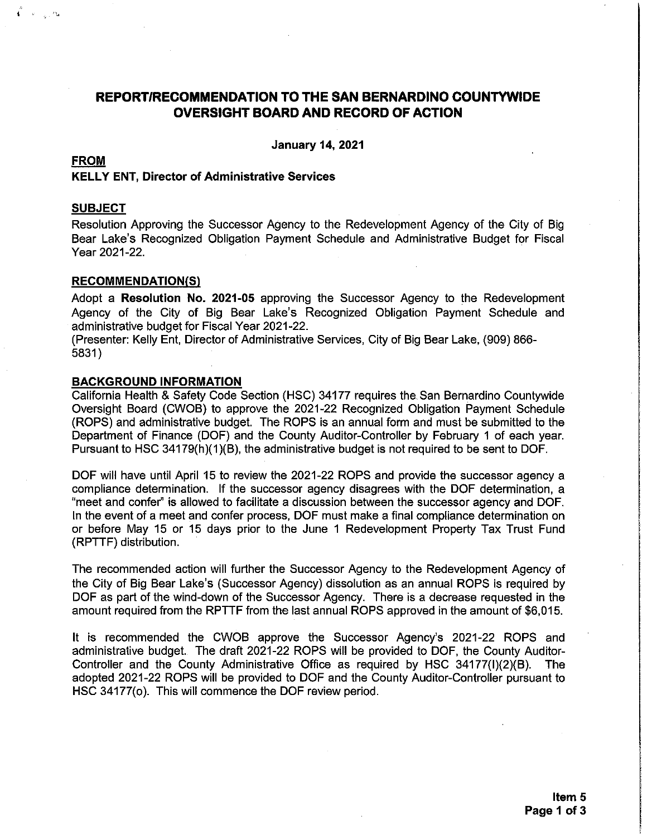### REPORT/RECOMMENDATION TO THE SAN BERNARDINO COUNTYWIDE **OVERSIGHT BOARD AND RECORD OF ACTION**

**January 14, 2021** 

#### **FROM**

 $\stackrel{\prime\prime}{\longleftarrow}$  ,  $\sim$  ,  $\sim$ 

#### **KELLY ENT, Director of Administrative Services**

#### **SUBJECT**

Resolution Approving the Successor Agency to the Redevelopment Agency of the City of Big Bear Lake's Recognized Obligation Payment Schedule and Administrative Budget for Fiscal Year 2021-22.

#### **RECOMMENDATION(S)**

Adopt a Resolution No. 2021-05 approving the Successor Agency to the Redevelopment Agency of the City of Big Bear Lake's Recognized Obligation Payment Schedule and administrative budget for Fiscal Year 2021-22.

(Presenter: Kelly Ent, Director of Administrative Services, City of Big Bear Lake, (909) 866-5831)

#### **BACKGROUND INFORMATION**

California Health & Safety Code Section (HSC) 34177 requires the San Bernardino Countywide Oversight Board (CWOB) to approve the 2021-22 Recognized Obligation Payment Schedule (ROPS) and administrative budget. The ROPS is an annual form and must be submitted to the Department of Finance (DOF) and the County Auditor-Controller by February 1 of each year. Pursuant to HSC 34179(h)(1)(B), the administrative budget is not required to be sent to DOF.

DOF will have until April 15 to review the 2021-22 ROPS and provide the successor agency a compliance determination. If the successor agency disagrees with the DOF determination, a "meet and confer" is allowed to facilitate a discussion between the successor agency and DOF. In the event of a meet and confer process, DOF must make a final compliance determination on or before May 15 or 15 days prior to the June 1 Redevelopment Property Tax Trust Fund (RPTTF) distribution.

The recommended action will further the Successor Agency to the Redevelopment Agency of the City of Big Bear Lake's (Successor Agency) dissolution as an annual ROPS is required by DOF as part of the wind-down of the Successor Agency. There is a decrease requested in the amount required from the RPTTF from the last annual ROPS approved in the amount of \$6,015.

It is recommended the CWOB approve the Successor Agency's 2021-22 ROPS and administrative budget. The draft 2021-22 ROPS will be provided to DOF, the County Auditor-Controller and the County Administrative Office as required by HSC 34177(I)(2)(B). The **The** adopted 2021-22 ROPS will be provided to DOF and the County Auditor-Controller pursuant to HSC 34177(o). This will commence the DOF review period.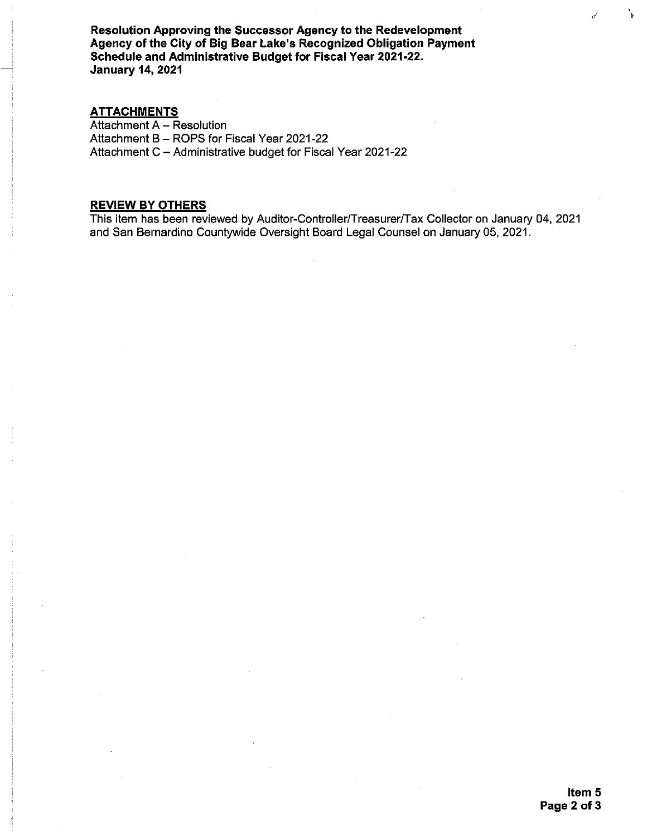Resolution Approving the Successor Agency to the Redevelopment Agency of the City of Big Bear Lake's Recognized Obligation Payment Schedule and Administrative Budget for Fiscal Year 2021-22. **January 14, 2021** 

#### **ATTACHMENTS**

Attachment A - Resolution Attachment B - ROPS for Fiscal Year 2021-22 Attachment C - Administrative budget for Fiscal Year 2021-22

#### **REVIEW BY OTHERS**

This item has been reviewed by Auditor-Controller/Treasurer/Tax Collector on January 04, 2021 and San Bernardino Countywide Oversight Board Legal Counsel on January 05, 2021.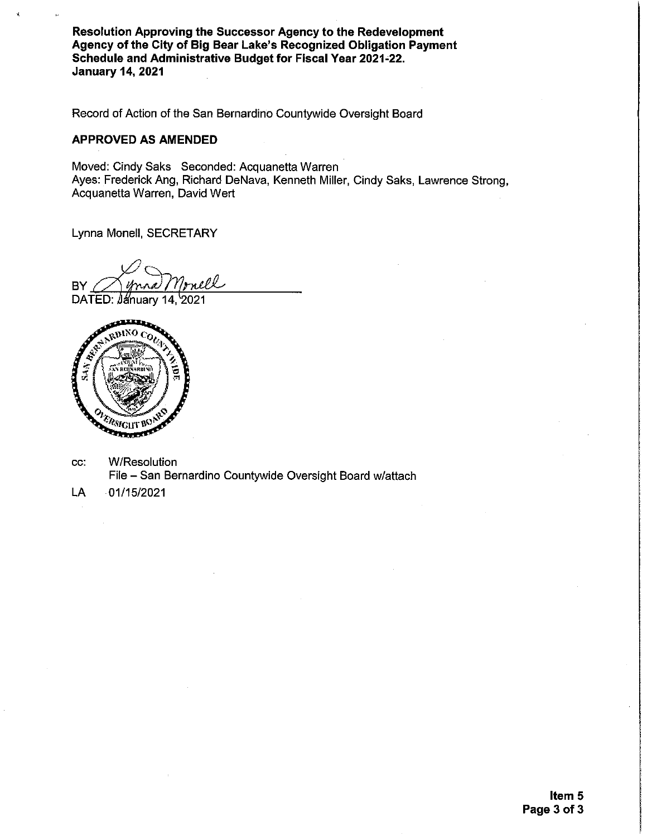Resolution Approving the Successor Agency to the Redevelopment Agency of the City of Big Bear Lake's Recognized Obligation Payment Schedule and Administrative Budget for Fiscal Year 2021-22. **January 14, 2021** 

Record of Action of the San Bernardino Countywide Oversight Board

#### **APPROVED AS AMENDED**

Moved: Cindy Saks Seconded: Acquanetta Warren Ayes: Frederick Ang, Richard DeNava, Kenneth Miller, Cindy Saks, Lawrence Strong, Acquanetta Warren, David Wert

Lynna Monell, SECRETARY

nell **BY** 

DATED: January 14, 2021



- **W/Resolution** CC: File - San Bernardino Countywide Oversight Board w/attach
- $-01/15/2021$ LA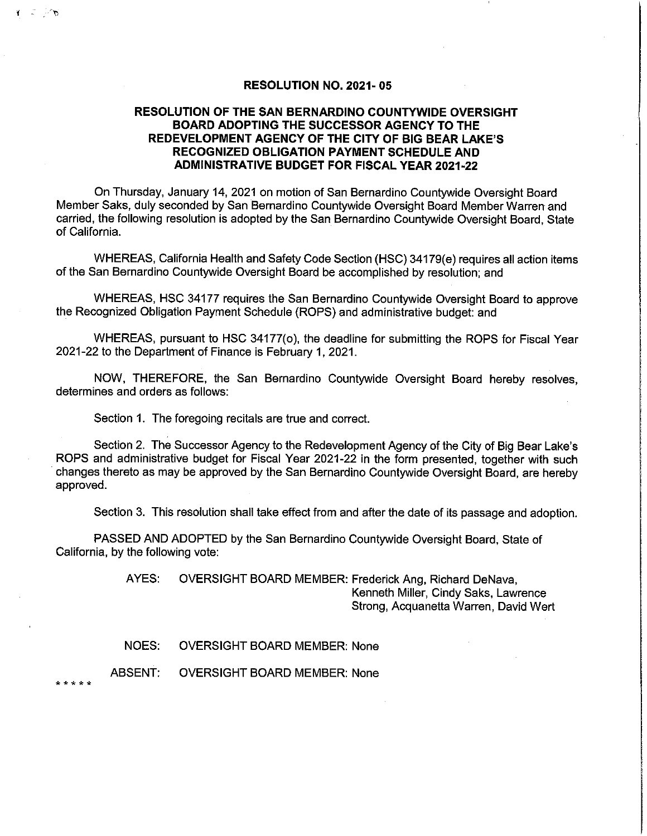#### **RESOLUTION NO. 2021-05**

#### **RESOLUTION OF THE SAN BERNARDINO COUNTYWIDE OVERSIGHT BOARD ADOPTING THE SUCCESSOR AGENCY TO THE** REDEVELOPMENT AGENCY OF THE CITY OF BIG BEAR LAKE'S RECOGNIZED OBLIGATION PAYMENT SCHEDULE AND **ADMINISTRATIVE BUDGET FOR FISCAL YEAR 2021-22**

On Thursday, January 14, 2021 on motion of San Bernardino Countywide Oversight Board Member Saks, duly seconded by San Bernardino Countywide Oversight Board Member Warren and carried, the following resolution is adopted by the San Bernardino Countywide Oversight Board, State of California.

WHEREAS, California Health and Safety Code Section (HSC) 34179(e) requires all action items of the San Bernardino Countywide Oversight Board be accomplished by resolution; and

WHEREAS, HSC 34177 requires the San Bernardino Countywide Oversight Board to approve the Recognized Obligation Payment Schedule (ROPS) and administrative budget: and

WHEREAS, pursuant to HSC 34177(o), the deadline for submitting the ROPS for Fiscal Year 2021-22 to the Department of Finance is February 1, 2021.

NOW, THEREFORE, the San Bernardino Countywide Oversight Board hereby resolves, determines and orders as follows:

Section 1. The foregoing recitals are true and correct.

Section 2. The Successor Agency to the Redevelopment Agency of the City of Big Bear Lake's ROPS and administrative budget for Fiscal Year 2021-22 in the form presented, together with such changes thereto as may be approved by the San Bernardino Countywide Oversight Board, are hereby approved.

Section 3. This resolution shall take effect from and after the date of its passage and adoption.

PASSED AND ADOPTED by the San Bernardino Countywide Oversight Board, State of California, by the following vote:

> OVERSIGHT BOARD MEMBER: Frederick Ang, Richard DeNava, AYES: Kenneth Miller, Cindy Saks, Lawrence Strong, Acquanetta Warren, David Wert

**OVERSIGHT BOARD MEMBER: None** NOES:

ABSENT: **OVERSIGHT BOARD MEMBER: None** 

. . . . .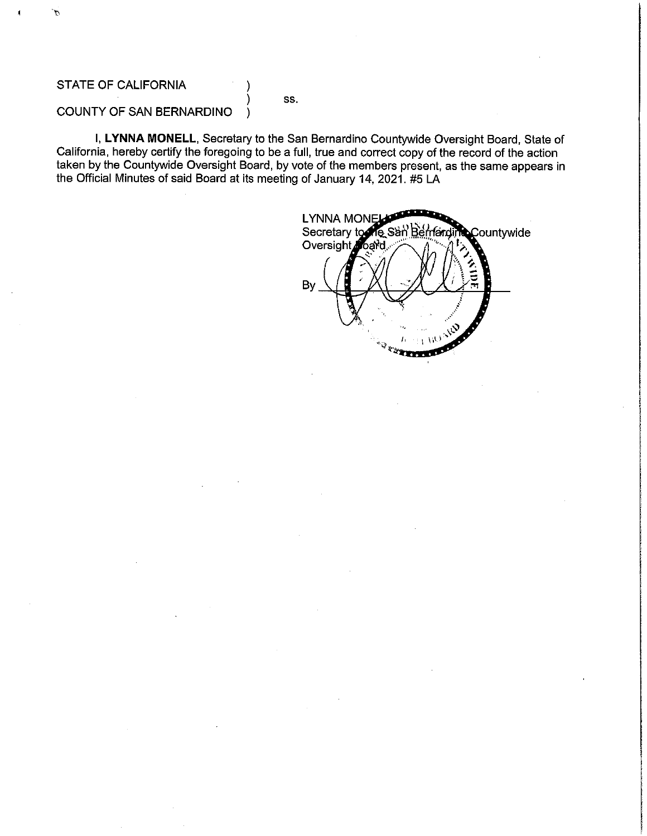#### STATE OF CALIFORNIA

SS.

#### COUNTY OF SAN BERNARDINO  $\lambda$

I, LYNNA MONELL, Secretary to the San Bernardino Countywide Oversight Board, State of California, hereby certify the foregoing to be a full, true and correct copy of the record of the action taken by the Countywide Oversight Board, by vote of the members present, as the same appears in the Official Minutes of said Board at its meeting of January 14, 2021. #5 LA

**LYNNA MONEL** Secretary to Re San Be Countywide rlarc Oversight loard By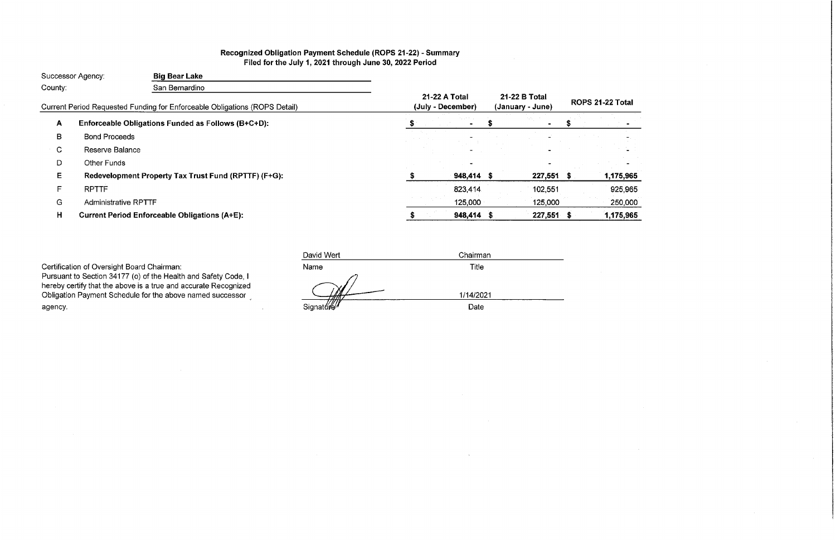# Recognized Obligation Payment Schedule (ROPS 21-22) - Summary<br>Filed for the July 1, 2021 through June 30, 2022 Period

|         | Successor Agency:           | <b>Big Bear Lake</b>                                                       |                                    |            |                                   |              |                  |           |
|---------|-----------------------------|----------------------------------------------------------------------------|------------------------------------|------------|-----------------------------------|--------------|------------------|-----------|
| County: |                             | San Bernardino                                                             |                                    |            |                                   |              |                  |           |
|         |                             | Current Period Requested Funding for Enforceable Obligations (ROPS Detail) | 21-22 A Total<br>(July - December) |            | 21-22 B Total<br>(January - June) |              | ROPS 21-22 Total |           |
| A       |                             | Enforceable Obligations Funded as Follows (B+C+D):                         |                                    |            |                                   |              |                  |           |
| В       | <b>Bond Proceeds</b>        |                                                                            |                                    |            |                                   |              |                  |           |
| C       | Reserve Balance             |                                                                            |                                    |            |                                   |              |                  |           |
| D       | <b>Other Funds</b>          |                                                                            |                                    |            |                                   |              |                  |           |
| E       |                             | Redevelopment Property Tax Trust Fund (RPTTF) (F+G):                       |                                    | 948,414 \$ |                                   | 227,551      |                  | 1,175,965 |
| E       | <b>RPTTF</b>                |                                                                            |                                    | 823,414    |                                   | 102,551      |                  | 925,965   |
| G       | <b>Administrative RPTTF</b> |                                                                            |                                    | 125,000    |                                   | 125,000      |                  | 250,000   |
| H       |                             | <b>Current Period Enforceable Obligations (A+E):</b>                       |                                    | 948,414 \$ |                                   | $227,551$ \$ |                  | 1,175,965 |

 $\sim 10$ 

Certification of Oversight Board Chairman:

Pursuant to Section 34177 (o) of the Health and Safety Code, I<br>hereby certify that the above is a true and accurate Recognized Obligation Payment Schedule for the above named successor agency.

| David Wert     | Chairman          |  |
|----------------|-------------------|--|
| Name           | Title             |  |
| v<br>Signature | 1/14/2021<br>Date |  |

 $\sim$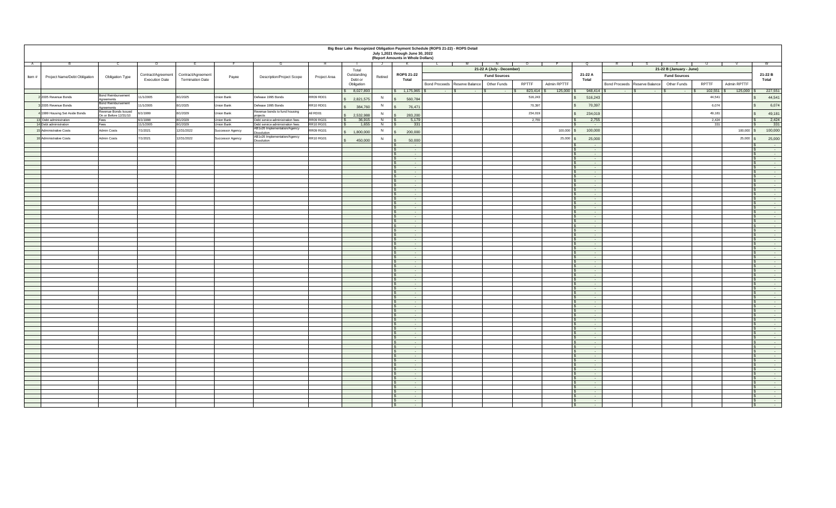| Big Bear Lake Recognized Obligation Payment Schedule (ROPS 21-22) - ROPS Detail<br>July 1,2021 through June 30, 2022 |                                    |                       |                         |                         |                                                    |                  |                      |         |                                                        |                                 |                           |              |                    |                                                      |                                 |                          |                             |                                                           |
|----------------------------------------------------------------------------------------------------------------------|------------------------------------|-----------------------|-------------------------|-------------------------|----------------------------------------------------|------------------|----------------------|---------|--------------------------------------------------------|---------------------------------|---------------------------|--------------|--------------------|------------------------------------------------------|---------------------------------|--------------------------|-----------------------------|-----------------------------------------------------------|
|                                                                                                                      |                                    |                       |                         |                         |                                                    |                  |                      |         | (Report Amounts in Whole Dollars)                      |                                 |                           |              |                    |                                                      |                                 |                          |                             |                                                           |
| A                                                                                                                    |                                    |                       |                         |                         |                                                    |                  |                      |         |                                                        |                                 |                           |              |                    |                                                      |                                 |                          |                             |                                                           |
|                                                                                                                      |                                    |                       |                         |                         |                                                    |                  |                      |         |                                                        |                                 | 21-22 A (July - December) |              |                    |                                                      |                                 | 21-22 B (January - June) |                             |                                                           |
|                                                                                                                      |                                    | Contract/Agreement    | Contract/Agreement      |                         |                                                    |                  | Total<br>Outstanding |         | <b>ROPS 21-22</b>                                      |                                 |                           |              |                    | 21-22 A                                              |                                 |                          |                             | 21-22 B                                                   |
| Item #<br><b>Project Name/Debt Obligation</b>                                                                        | <b>Obligation Type</b>             | <b>Execution Date</b> | <b>Termination Date</b> | Payee                   | <b>Description/Project Scope</b>                   | Project Area     | Debt or              | Retired | <b>Total</b>                                           |                                 | <b>Fund Sources</b>       |              |                    | <b>Total</b>                                         |                                 | <b>Fund Sources</b>      |                             | <b>Total</b>                                              |
|                                                                                                                      |                                    |                       |                         |                         |                                                    |                  | Obligation           |         |                                                        | Bond Proceeds   Reserve Balance | <b>Other Funds</b>        | <b>RPTTF</b> | <b>Admin RPTTF</b> |                                                      | Bond Proceeds   Reserve Balance | <b>Other Funds</b>       | <b>RPTTF</b><br>Admin RPTTF |                                                           |
|                                                                                                                      |                                    |                       |                         |                         |                                                    |                  | \$8,027,893          |         | $$ 1,175,965$ \$                                       | $-1$ s                          |                           |              | $125,000$ \ \$     | 948,414                                              | and the contract of the         |                          |                             | 227,551                                                   |
|                                                                                                                      | <b>Bond Reimbursement</b>          |                       |                         |                         |                                                    |                  |                      |         |                                                        | $\sim 100$ m $^{-1}$            | <b>Contract Contract</b>  | 823,414      |                    |                                                      |                                 | <b>State State</b>       | $102,551$ $\mid$<br>125,000 |                                                           |
| 2 2005 Revenue Bonds                                                                                                 | Agreements                         | 11/1/2005             | 8/1/2025                | <b>Union Bank</b>       | Defease 1995 Bonds                                 | RR09 RD01        | \$2,821,575          |         | 560,784                                                |                                 |                           | 516,243      |                    | 516,243                                              |                                 |                          | 44,541                      | 44,541                                                    |
| 3 2005 Revenue Bonds                                                                                                 | <b>Bond Reimbursement</b>          | 11/1/2005             | 8/1/2025                | Union Bank              | Defease 1995 Bonds                                 | <b>RR10 RD01</b> | 384,760              |         | 76,471                                                 |                                 |                           | 70,397       |                    | 70,397                                               |                                 |                          | 6,074                       | 6,074                                                     |
|                                                                                                                      | Agreements<br>Revenue Bonds Issued |                       |                         |                         | Revenue bonds to fund housing                      |                  |                      |         |                                                        |                                 |                           |              |                    |                                                      |                                 |                          |                             |                                                           |
| 4 1999 Housing Set Aside Bonds                                                                                       | On or Before 12/31/10              | 6/1/1999              | 8/1/2029                | <b>Union Bank</b>       | projects                                           | All RD01         | 2,532,988            |         | 283,200                                                |                                 |                           | 234,019      |                    | 234,019                                              |                                 |                          | 49,181                      | 49,181                                                    |
| 13 Debt administration                                                                                               | Fees                               | 6/1/1998              | 8/1/2029                | Union Bank              | Debt service administration fees                   | <b>RR09 RG01</b> | 36,915               |         | 5,179                                                  |                                 |                           | 2,755        |                    | 2,755                                                |                                 |                          | 2,424                       | 2,424                                                     |
| 14 Debt administration                                                                                               | Fees                               | 11/1/2005             | 8/1/2029                | <b>Union Bank</b>       | Debt service administration fees                   | <b>RR10 RG01</b> | 1,655                |         | 331                                                    |                                 |                           |              |                    | $\sim 100$                                           |                                 |                          | 331                         | $\overline{331}$                                          |
| 15 Administrative Costs                                                                                              | Admin Costs                        | 7/1/2021              | 12/31/2022              | Successor Agency        | AB1x26 Implementation/Agency<br><b>Dissolution</b> | RR09 RG01        | 1,800,000            |         | 200,000                                                |                                 |                           |              | 100,000            | 100,000                                              |                                 |                          | 100,000                     | 100,000                                                   |
| 16 Administrative Costs                                                                                              | Admin Costs                        | 7/1/2021              | 12/31/2022              | <b>Successor Agency</b> | AB1x26 Implementation/Agency                       | <b>RR10 RG01</b> |                      |         |                                                        |                                 |                           |              | 25,000             | 25,000                                               |                                 |                          |                             | 25,000<br>$25,000$ \$                                     |
|                                                                                                                      |                                    |                       |                         |                         | <b>Dissolution</b>                                 |                  | 450,000              |         | 50,000                                                 |                                 |                           |              |                    |                                                      |                                 |                          |                             |                                                           |
|                                                                                                                      |                                    |                       |                         |                         |                                                    |                  |                      |         | $\sim$ 100 $-$<br>$\sim$ $-$                           |                                 |                           |              |                    | $\sim$ 100 $\pm$<br><b>State State</b>               |                                 |                          |                             | <b>Service</b> State                                      |
|                                                                                                                      |                                    |                       |                         |                         |                                                    |                  |                      |         | $\sim$ $-$                                             |                                 |                           |              |                    | <b>State State</b>                                   |                                 |                          |                             | $\sim 100$ m $^{-1}$                                      |
|                                                                                                                      |                                    |                       |                         |                         |                                                    |                  |                      |         |                                                        |                                 |                           |              |                    | $\sim$ 100 $\sim$                                    |                                 |                          |                             | $\sim$ $-$                                                |
|                                                                                                                      |                                    |                       |                         |                         |                                                    |                  |                      |         | $\sim$ $-$                                             |                                 |                           |              |                    | $\sim$ 100 $\sim$                                    |                                 |                          |                             | $\sim$ $-$                                                |
|                                                                                                                      |                                    |                       |                         |                         |                                                    |                  |                      |         | $\sim$ $-$                                             |                                 |                           |              |                    | $\sim 100$                                           |                                 |                          |                             |                                                           |
|                                                                                                                      |                                    |                       |                         |                         |                                                    |                  |                      |         | $\sim$ $-$<br>$\sim$                                   |                                 |                           |              |                    | $\sim$ $-$<br><b>State State</b>                     |                                 |                          |                             | $\sim$ $-$<br>$\sim$ $-$                                  |
|                                                                                                                      |                                    |                       |                         |                         |                                                    |                  |                      |         | $\sim$ $-$                                             |                                 |                           |              |                    | $\sim$ 100 $\pm$                                     |                                 |                          |                             | $\sim$ $-$                                                |
|                                                                                                                      |                                    |                       |                         |                         |                                                    |                  |                      |         | $\sim$                                                 |                                 |                           |              |                    | <b>State State</b>                                   |                                 |                          |                             | $\sim$                                                    |
|                                                                                                                      |                                    |                       |                         |                         |                                                    |                  |                      |         | $\sim$ $-$                                             |                                 |                           |              |                    | $\sim$ 100 $\pm$                                     |                                 |                          |                             | $\sim 100$ km s $^{-1}$                                   |
|                                                                                                                      |                                    |                       |                         |                         |                                                    |                  |                      |         |                                                        |                                 |                           |              |                    |                                                      |                                 |                          |                             |                                                           |
|                                                                                                                      |                                    |                       |                         |                         |                                                    |                  |                      |         | <b>Contract Contract State</b><br><b>Service State</b> |                                 |                           |              |                    | <b>Service Contracts</b><br>$\sim 100$ m $^{-1}$     |                                 |                          |                             |                                                           |
|                                                                                                                      |                                    |                       |                         |                         |                                                    |                  |                      |         | <b>Service Contract Contract Contract</b>              |                                 |                           |              |                    | $\sim 100$ m $^{-1}$                                 |                                 |                          |                             |                                                           |
|                                                                                                                      |                                    |                       |                         |                         |                                                    |                  |                      |         | $\sim 100$ m $^{-1}$                                   |                                 |                           |              |                    | $\sim 100$ m $^{-1}$                                 |                                 |                          |                             |                                                           |
|                                                                                                                      |                                    |                       |                         |                         |                                                    |                  |                      |         | $\mathbf{R}$<br><b>Service State</b>                   |                                 |                           |              |                    | <b>State State</b>                                   |                                 |                          |                             |                                                           |
|                                                                                                                      |                                    |                       |                         |                         |                                                    |                  |                      |         | <b>Service</b>                                         |                                 |                           |              |                    | $\sim 100$ m $^{-1}$                                 |                                 |                          |                             |                                                           |
|                                                                                                                      |                                    |                       |                         |                         |                                                    |                  |                      |         | <b>Service</b><br><b>Contract Contract</b>             |                                 |                           |              |                    | $\sim 100$ km s $^{-1}$<br><b>State State</b>        |                                 |                          |                             |                                                           |
|                                                                                                                      |                                    |                       |                         |                         |                                                    |                  |                      |         | <b>Service</b>                                         |                                 |                           |              |                    | $\sim 100$ m $^{-1}$                                 |                                 |                          |                             |                                                           |
|                                                                                                                      |                                    |                       |                         |                         |                                                    |                  |                      |         | <b>Service State</b>                                   |                                 |                           |              |                    | $\sim 100$ m $^{-1}$                                 |                                 |                          |                             |                                                           |
|                                                                                                                      |                                    |                       |                         |                         |                                                    |                  |                      |         | <b>Service Contracts</b>                               |                                 |                           |              |                    | <b>State State</b>                                   |                                 |                          |                             |                                                           |
|                                                                                                                      |                                    |                       |                         |                         |                                                    |                  |                      |         | <b>Service State</b><br><b>Service Contracts</b>       |                                 |                           |              |                    | <b>Contract Contract</b><br><b>Service Contracts</b> |                                 |                          |                             |                                                           |
|                                                                                                                      |                                    |                       |                         |                         |                                                    |                  |                      |         | <b>Service State</b>                                   |                                 |                           |              |                    | $\sim 100$ m $^{-1}$                                 |                                 |                          |                             |                                                           |
|                                                                                                                      |                                    |                       |                         |                         |                                                    |                  |                      |         | <b>Service State</b>                                   |                                 |                           |              |                    | <b>Contract Contract</b>                             |                                 |                          |                             |                                                           |
|                                                                                                                      |                                    |                       |                         |                         |                                                    |                  |                      |         | $\sim 100$ m $^{-1}$                                   |                                 |                           |              |                    | $\sim 100$ km s $^{-1}$                              |                                 |                          |                             |                                                           |
|                                                                                                                      |                                    |                       |                         |                         |                                                    |                  |                      |         | $\mathsf{R}$<br><b>Service State</b>                   |                                 |                           |              |                    | <b>State State</b>                                   |                                 |                          |                             |                                                           |
|                                                                                                                      |                                    |                       |                         |                         |                                                    |                  |                      |         | $\sim 100$ km s $^{-1}$<br><b>Service</b>              |                                 |                           |              |                    | $\sim 100$ km s $^{-1}$<br>$\sim 100$ km s $^{-1}$   |                                 |                          |                             |                                                           |
|                                                                                                                      |                                    |                       |                         |                         |                                                    |                  |                      |         | $\sim 100$ km s $^{-1}$                                |                                 |                           |              |                    | $\sim 100$ m $^{-1}$                                 |                                 |                          |                             |                                                           |
|                                                                                                                      |                                    |                       |                         |                         |                                                    |                  |                      |         | <b>Contract Contract</b>                               |                                 |                           |              |                    | $\sim 100$ m $^{-1}$                                 |                                 |                          |                             |                                                           |
|                                                                                                                      |                                    |                       |                         |                         |                                                    |                  |                      |         | <b>Service State</b>                                   |                                 |                           |              |                    | $\sim 100$ m $^{-1}$                                 |                                 |                          |                             |                                                           |
|                                                                                                                      |                                    |                       |                         |                         |                                                    |                  |                      |         | <b>Service State</b>                                   |                                 |                           |              |                    | <b>Contract Contract</b>                             |                                 |                          |                             |                                                           |
|                                                                                                                      |                                    |                       |                         |                         |                                                    |                  |                      |         | <b>Service</b><br><b>Service Contracts</b>             |                                 |                           |              |                    | <b>Contract Contract</b><br><b>Contract Contract</b> |                                 |                          |                             |                                                           |
|                                                                                                                      |                                    |                       |                         |                         |                                                    |                  |                      |         | <b>Service State</b>                                   |                                 |                           |              |                    | $\sim 100$ m $^{-1}$                                 |                                 |                          |                             |                                                           |
|                                                                                                                      |                                    |                       |                         |                         |                                                    |                  |                      |         | <b>Service Contracts</b>                               |                                 |                           |              |                    | <b>Service State</b>                                 |                                 |                          |                             |                                                           |
|                                                                                                                      |                                    |                       |                         |                         |                                                    |                  |                      |         | $\sim 100$ m $^{-1}$                                   |                                 |                           |              |                    | $\sim 100$ m $^{-1}$                                 |                                 |                          |                             |                                                           |
|                                                                                                                      |                                    |                       |                         |                         |                                                    |                  |                      |         | <b>Contract Contract</b>                               |                                 |                           |              |                    | <b>Contract Contract</b>                             |                                 |                          |                             |                                                           |
|                                                                                                                      |                                    |                       |                         |                         |                                                    |                  |                      |         | $\sim$ 100 $\pm$<br><b>Contract Contract</b>           |                                 |                           |              |                    | $\sim 100$ m $^{-1}$<br><b>State State</b>           |                                 |                          |                             |                                                           |
|                                                                                                                      |                                    |                       |                         |                         |                                                    |                  |                      |         | $\sim 100$ m $^{-1}$                                   |                                 |                           |              |                    | $\sim 100$ km s $^{-1}$                              |                                 |                          |                             |                                                           |
|                                                                                                                      |                                    |                       |                         |                         |                                                    |                  |                      |         |                                                        |                                 |                           |              |                    |                                                      |                                 |                          |                             |                                                           |
|                                                                                                                      |                                    |                       |                         |                         |                                                    |                  |                      |         |                                                        |                                 |                           |              |                    | <b>Service</b>                                       |                                 |                          |                             |                                                           |
|                                                                                                                      |                                    |                       |                         |                         |                                                    |                  |                      |         | <b>Service Contract Contract</b>                       |                                 |                           |              |                    | <b>Contract Contract Contract</b>                    |                                 |                          |                             | <b>Service</b>                                            |
|                                                                                                                      |                                    |                       |                         |                         |                                                    |                  |                      |         | <b>Contract Contract</b><br><b>Service Contracts</b>   |                                 |                           |              |                    | <b>Service Contract</b><br><b>Service Contracts</b>  |                                 |                          |                             | <b>Service Contract</b><br><b>Service Contracts</b>       |
|                                                                                                                      |                                    |                       |                         |                         |                                                    |                  |                      |         | and the state of the state                             |                                 |                           |              |                    | and the state of the state                           |                                 |                          |                             | <b>Service Contract</b>                                   |
|                                                                                                                      |                                    |                       |                         |                         |                                                    |                  |                      |         | <b>Service Contract Contract Contract</b>              |                                 |                           |              |                    | <b>Contract Contract Contract</b>                    |                                 |                          |                             | <b><i>Committee States</i></b>                            |
|                                                                                                                      |                                    |                       |                         |                         |                                                    |                  |                      |         | <b>Contract Contract</b>                               |                                 |                           |              |                    | <b>Contract Contract</b>                             |                                 |                          |                             | <b>Service Contract</b>                                   |
|                                                                                                                      |                                    |                       |                         |                         |                                                    |                  |                      |         | <b>Service Contracts</b><br><b>Service</b> State       |                                 |                           |              |                    | <b>Service Contracts</b><br>$\sim 100$ m $^{-1}$     |                                 |                          |                             | $\sim 100$ km s $^{-1}$<br>$\sim$ $-$                     |
|                                                                                                                      |                                    |                       |                         |                         |                                                    |                  |                      |         | <b>Service State</b>                                   |                                 |                           |              |                    | $\sim 100$ km s $^{-1}$                              |                                 |                          |                             | $\sim 100$ m $^{-1}$                                      |
|                                                                                                                      |                                    |                       |                         |                         |                                                    |                  |                      |         | <b>Service</b> State                                   |                                 |                           |              |                    | <b>Service</b> State                                 |                                 |                          |                             | $\sim$ 100 $-$ 100 $-$                                    |
|                                                                                                                      |                                    |                       |                         |                         |                                                    |                  |                      |         | <b>Service State</b>                                   |                                 |                           |              |                    | <b>Service State</b>                                 |                                 |                          |                             | <b>Service</b>                                            |
|                                                                                                                      |                                    |                       |                         |                         |                                                    |                  |                      |         | <b>Service State</b>                                   |                                 |                           |              |                    | <b>Contract Contract</b>                             |                                 |                          |                             | <b>Service State</b><br><b>Contract Contract Contract</b> |
|                                                                                                                      |                                    |                       |                         |                         |                                                    |                  |                      |         | <b>Service State</b>                                   |                                 |                           |              |                    | <b>Contract Contract</b>                             |                                 |                          |                             |                                                           |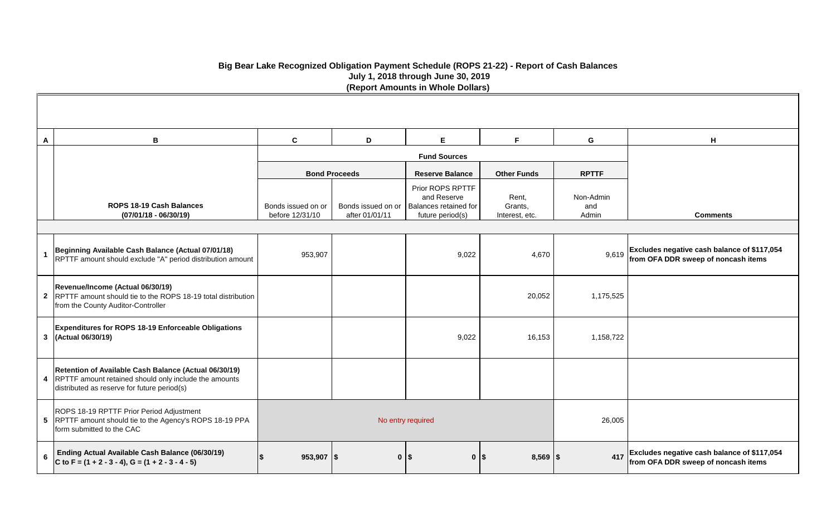| A              | B                                                                                                                                                               | $\mathbf{C}$                          | D                    | E.                                                                                                | F.                                 | G                         | H                                                                                        |
|----------------|-----------------------------------------------------------------------------------------------------------------------------------------------------------------|---------------------------------------|----------------------|---------------------------------------------------------------------------------------------------|------------------------------------|---------------------------|------------------------------------------------------------------------------------------|
|                |                                                                                                                                                                 |                                       |                      | <b>Fund Sources</b>                                                                               |                                    |                           |                                                                                          |
|                |                                                                                                                                                                 |                                       | <b>Bond Proceeds</b> | <b>Reserve Balance</b>                                                                            | <b>Other Funds</b>                 | <b>RPTTF</b>              |                                                                                          |
|                | <b>ROPS 18-19 Cash Balances</b><br>$(07/01/18 - 06/30/19)$                                                                                                      | Bonds issued on or<br>before 12/31/10 | after 01/01/11       | Prior ROPS RPTTF<br>and Reserve<br>Bonds issued on or   Balances retained for<br>future period(s) | Rent,<br>Grants,<br>Interest, etc. | Non-Admin<br>and<br>Admin | <b>Comments</b>                                                                          |
|                |                                                                                                                                                                 |                                       |                      |                                                                                                   |                                    |                           |                                                                                          |
|                | Beginning Available Cash Balance (Actual 07/01/18)<br>RPTTF amount should exclude "A" period distribution amount                                                | 953,907                               |                      | 9,022                                                                                             | 4,670                              |                           | 9,619 Excludes negative cash balance of \$117,054<br>from OFA DDR sweep of noncash items |
|                | Revenue/Income (Actual 06/30/19)<br>2 RPTTF amount should tie to the ROPS 18-19 total distribution<br>from the County Auditor-Controller                        |                                       |                      |                                                                                                   | 20,052                             | 1,175,525                 |                                                                                          |
|                | Expenditures for ROPS 18-19 Enforceable Obligations<br>3 (Actual 06/30/19)                                                                                      |                                       |                      | 9,022                                                                                             | 16,153                             | 1,158,722                 |                                                                                          |
|                | Retention of Available Cash Balance (Actual 06/30/19)<br>4 RPTTF amount retained should only include the amounts<br>distributed as reserve for future period(s) |                                       |                      |                                                                                                   |                                    |                           |                                                                                          |
|                | ROPS 18-19 RPTTF Prior Period Adjustment<br>5 RPTTF amount should tie to the Agency's ROPS 18-19 PPA<br>form submitted to the CAC                               |                                       | No entry required    |                                                                                                   |                                    |                           |                                                                                          |
| $6\phantom{1}$ | Ending Actual Available Cash Balance (06/30/19)<br>C to F = (1 + 2 - 3 - 4), G = (1 + 2 - 3 - 4 - 5)                                                            | $953,907$ \\$                         | $\mathbf{0}$         | \$                                                                                                | $8,569$   \$<br>0 <sup>15</sup>    | 417                       | Excludes negative cash balance of \$117,054<br>from OFA DDR sweep of noncash items       |

| н                                                                                  |
|------------------------------------------------------------------------------------|
|                                                                                    |
| <b>Comments</b>                                                                    |
| Excludes negative cash balance of \$117,054<br>from OFA DDR sweep of noncash items |
|                                                                                    |
|                                                                                    |
|                                                                                    |
|                                                                                    |
| Excludes negative cash balance of \$117,054<br>from OFA DDR sweep of noncash items |

## **Big Bear Lake Recognized Obligation Payment Schedule (ROPS 21-22) - Report of Cash Balances July 1, 2018 through June 30, 2019 (Report Amounts in Whole Dollars)**